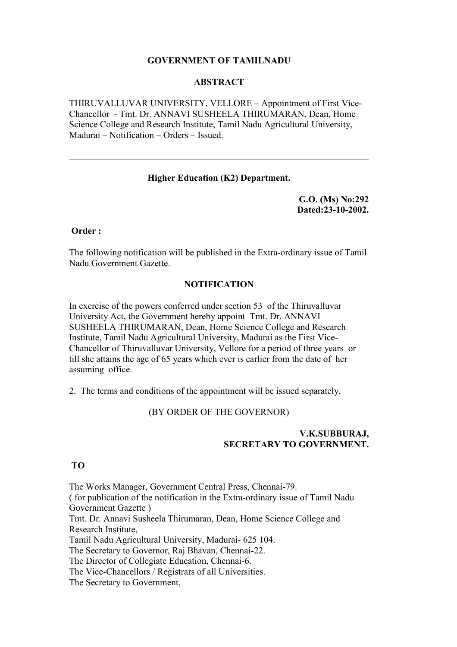# **GOVERNMENT OF TAMILNADU**

### **ABSTRACT**

THIRUVALLUVAR UNIVERSITY, VELLORE – Appointment of First Vice-Chancellor - Tmt. Dr. ANNAVI SUSHEELA THIRUMARAN, Dean, Home Science College and Research Institute, Tamil Nadu Agricultural University, Madurai – Notification – Orders – Issued.

# **Higher Education (K2) Department.**

**G.O. (Ms) No:292 Dated:23-10-2002.** 

**Order :** 

The following notification will be published in the Extra-ordinary issue of Tamil Nadu Government Gazette.

#### **NOTIFICATION**

In exercise of the powers conferred under section 53 of the Thiruvalluvar University Act, the Government hereby appoint Tmt. Dr. ANNAVI SUSHEELA THIRUMARAN, Dean, Home Science College and Research Institute, Tamil Nadu Agricultural University, Madurai as the First Vice-Chancellor of Thiruvalluvar University, Vellore for a period of three years or till she attains the age of 65 years which ever is earlier from the date of her assuming office.

2. The terms and conditions of the appointment will be issued separately.

#### (BY ORDER OF THE GOVERNOR)

# **V.K.SUBBURAJ, SECRETARY TO GOVERNMENT.**

#### **TO**

The Works Manager, Government Central Press, Chennai-79. ( for publication of the notification in the Extra-ordinary issue of Tamil Nadu Government Gazette ) Tmt. Dr. Annavi Susheela Thirumaran, Dean, Home Science College and Research Institute, Tamil Nadu Agricultural University, Madurai- 625 104. The Secretary to Governor, Raj Bhavan, Chennai-22. The Director of Collegiate Education, Chennai-6. The Vice-Chancellors / Registrars of all Universities. The Secretary to Government,